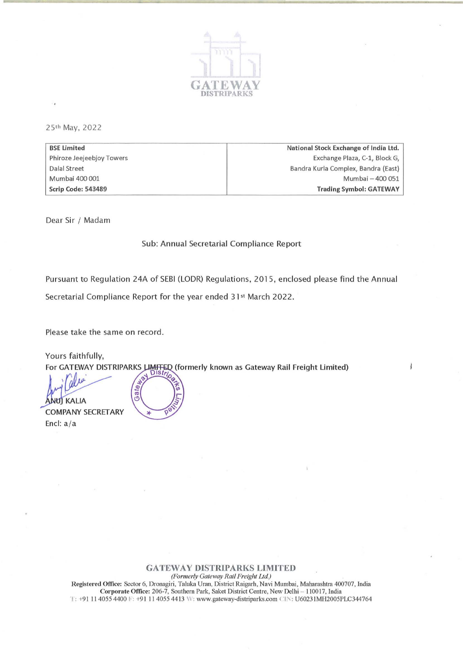

25th May, 2022

BSE limited Phiroze Jeejeebjoy Towers Dalal Street Mumbai 400 001 Scrip Code: 543489 National Stock Exchange of India Ltd. Exchange Plaza, C-1, Block G, Bandra Kurla Complex, Bandra (East) Mumbai - 400 051 Trading Symbol: GATEWAY

Dear Sir / Madam

## Sub: Annual Secretarial Compliance Report

Pursuant to Regulation 24A of SEBI (LODR) Regulations, 2015, enclosed please find the Annual

Secretarial Compliance Report for the year ended 31<sup>st</sup> March 2022.

Please take the same on record.

Yours faithfully, For GATEWAY DISTRIPARKS LIMITED (formerly known as Gateway Rail Freight Limited)

ate<sub>ty</sub> Gai NUJ KALIA **COMPANY SECRETARY** Encl: a/a

## GATEWAY DISTRIPARKS LIMITED

*(Formerly Gateway Rail Freight LId.)* 

Registered Office: Sector 6, Dronagiri, Taluka Uran, District Raigarh, Navi Mumbai, Maharashtra 400707, India Corporate Office: 206-7, Southern Park, Saket District Centre, New Delhi - 110017, India T: +91 11 4055 4400 F: +91 11 4055 4413 W: www.gateway-distriparks.com CIN: U60231MH2005PLC344764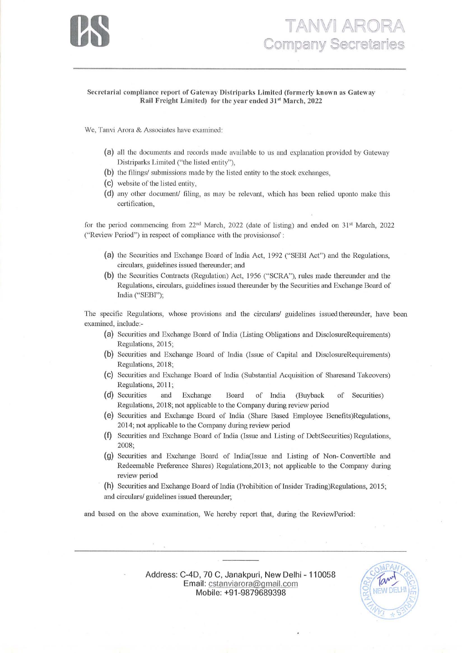

## **TANVI ARORA**<br>Company Secretaries

## Secretarial compliance report of Gateway Distriparks Limited (formerly known as Gateway Rail Freight Limited) for the year ended 31<sup>st</sup> March, 2022

We, Tanvi Arora & Associates have examined:

- (a) all the documents and records made available to us and explanation provided by Gateway Distriparks Limited ("the listed entity"),
- (b) the filings/ submissions made by the listed entity to the stock exchanges,
- (C) website of the listed entity,
- (d) any other document/ filing, as may be relevant, which has been relied uponto make this certification,

for the period commencing from 22<sup>nd</sup> March, 2022 (date of listing) and ended on 31<sup>st</sup> March, 2022 ("Review Period") in respect of compliance with the provisions f:

- (a) the Securities and Exchange Board of India Act, 1992 ("SEBI Act") and the Regulations, circulars, guidelines issued thereunder; and
- (b) the Securities Contracts (Regulation) Act, 1956 ("SCRA"), rules made thereunder and the Regulations, circulars, guidelines issued thereunder by the Securities and Exchange Board of India ("SEBI");

The specific Regulations, whose provisions and the circulars/ guidelines issued thereunder, have been examined, include:-

- (a) Securities and Exchange Board of India (Listing Obligations and DisclosureRequirements) Regulations, 2015;
- (b) Securities and Exchange Board of India (Issue of Capital and DisclosureRequircmcnts) Regulations, 2018;
- (C) Securities and Exchange Board of Tndia (Substantial Acquisition of Sharesand Takeovers) Regulations, 2011;
- (d) Securities and Exchangc Board of India (Buyback of Securities) Regulations, 2018; not applicable to the Company during review period
- (e) Securities and Exchange Board of India (Share Based Employee Benefits)Regulations, 2014 ; not applicable to the Company during review period
- (I) Securities and Exchange Board of India (Issue and Listing of DebtSecurities) Regulations, 2008;
- (g) Securities and Exchange Board of India(Issue and Listing of Non- Convertible and Redeemable Preference Shares) Regulations,2013; not applicable to the Company during review period
- (h) Securities and Exchange Board of India (Prohibition of Insider Trading)Regulations, 2015; and circulars/ guidelines issued thereunder;

and based on the above examination, We hereby report that, during the ReviewPeriod:

Address: C-4D, 70 C, Janakpuri, New Delhi - 110058 Email: cstanviarora@gmail.com Mobile: +91-9879689398